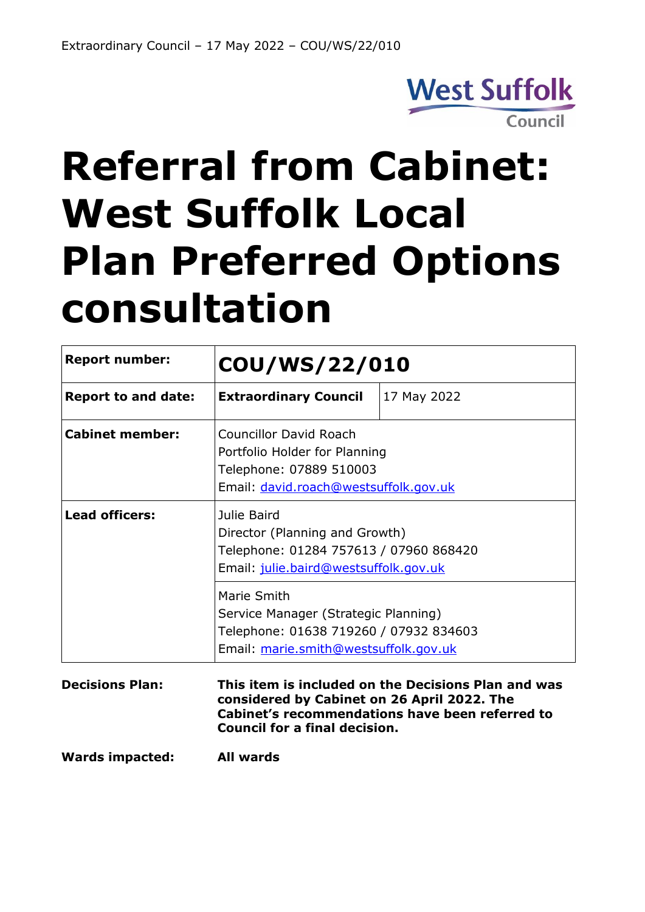

# **Referral from Cabinet: West Suffolk Local Plan Preferred Options consultation**

| <b>Report number:</b>      | COU/WS/22/010                                                                                                                                                                                 |             |
|----------------------------|-----------------------------------------------------------------------------------------------------------------------------------------------------------------------------------------------|-------------|
| <b>Report to and date:</b> | <b>Extraordinary Council</b>                                                                                                                                                                  | 17 May 2022 |
| <b>Cabinet member:</b>     | <b>Councillor David Roach</b><br>Portfolio Holder for Planning<br>Telephone: 07889 510003<br>Email: david.roach@westsuffolk.gov.uk                                                            |             |
| <b>Lead officers:</b>      | Julie Baird<br>Director (Planning and Growth)<br>Telephone: 01284 757613 / 07960 868420<br>Email: julie.baird@westsuffolk.gov.uk                                                              |             |
|                            | Marie Smith<br>Service Manager (Strategic Planning)<br>Telephone: 01638 719260 / 07932 834603<br>Email: marie.smith@westsuffolk.gov.uk                                                        |             |
| <b>Decisions Plan:</b>     | This item is included on the Decisions Plan and was<br>considered by Cabinet on 26 April 2022. The<br>Cabinet's recommendations have been referred to<br><b>Council for a final decision.</b> |             |

**Wards impacted: All wards**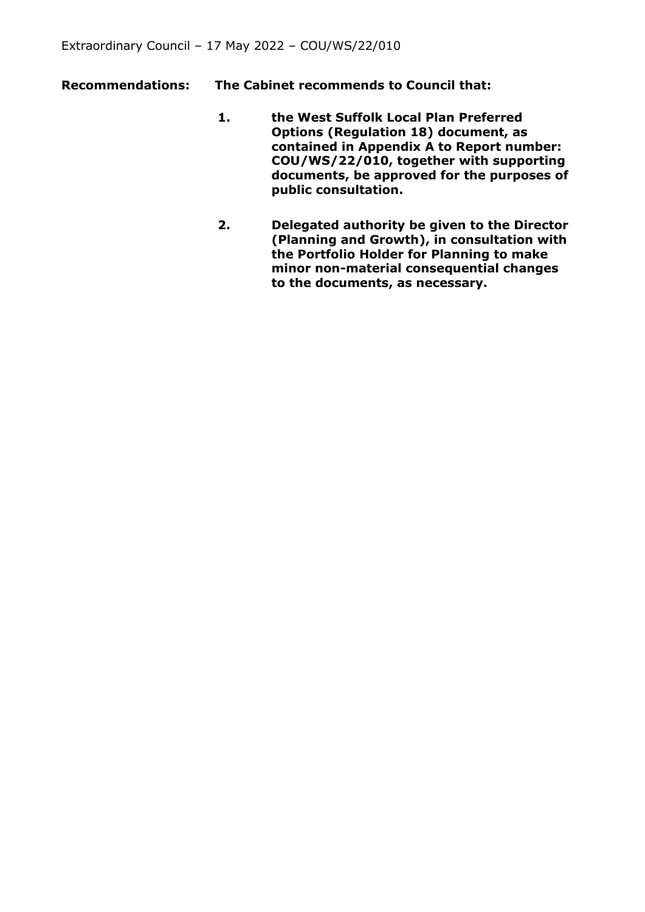- **Recommendations: The Cabinet recommends to Council that:** 
	- **1. the West Suffolk Local Plan Preferred Options (Regulation 18) document, as contained in Appendix A to Report number: COU/WS/22/010, together with supporting documents, be approved for the purposes of public consultation.**
	- **2. Delegated authority be given to the Director (Planning and Growth), in consultation with the Portfolio Holder for Planning to make minor non-material consequential changes to the documents, as necessary.**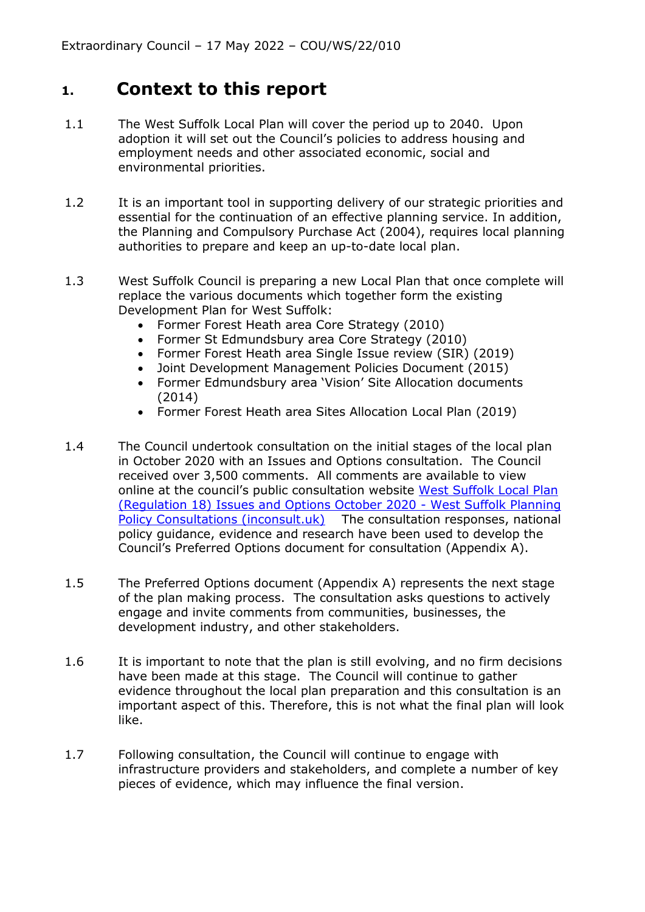### **1. Context to this report**

- 1.1 The West Suffolk Local Plan will cover the period up to 2040. Upon adoption it will set out the Council's policies to address housing and employment needs and other associated economic, social and environmental priorities.
- 1.2 It is an important tool in supporting delivery of our strategic priorities and essential for the continuation of an effective planning service. In addition, the Planning and Compulsory Purchase Act (2004), requires local planning authorities to prepare and keep an up-to-date local plan.
- 1.3 West Suffolk Council is preparing a new Local Plan that once complete will replace the various documents which together form the existing Development Plan for West Suffolk:
	- Former Forest Heath area Core Strategy (2010)
	- Former St Edmundsbury area Core Strategy (2010)
	- Former Forest Heath area Single Issue review (SIR) (2019)
	- Joint Development Management Policies Document (2015)
	- Former Edmundsbury area 'Vision' Site Allocation documents (2014)
	- Former Forest Heath area Sites Allocation Local Plan (2019)
- 1.4 The Council undertook consultation on the initial stages of the local plan in October 2020 with an Issues and Options consultation. The Council received over 3,500 comments. All comments are available to view online at the council's public consultation website [West Suffolk Local Plan](https://westsuffolk.inconsult.uk/WSLP_Issues_and_Options/consultationHome)  [\(Regulation 18\) Issues and Options October 2020 -](https://westsuffolk.inconsult.uk/WSLP_Issues_and_Options/consultationHome) West Suffolk Planning [Policy Consultations \(inconsult.uk\)](https://westsuffolk.inconsult.uk/WSLP_Issues_and_Options/consultationHome) The consultation responses, national policy guidance, evidence and research have been used to develop the Council's Preferred Options document for consultation (Appendix A).
- 1.5 The Preferred Options document (Appendix A) represents the next stage of the plan making process. The consultation asks questions to actively engage and invite comments from communities, businesses, the development industry, and other stakeholders.
- 1.6 It is important to note that the plan is still evolving, and no firm decisions have been made at this stage. The Council will continue to gather evidence throughout the local plan preparation and this consultation is an important aspect of this. Therefore, this is not what the final plan will look like.
- 1.7 Following consultation, the Council will continue to engage with infrastructure providers and stakeholders, and complete a number of key pieces of evidence, which may influence the final version.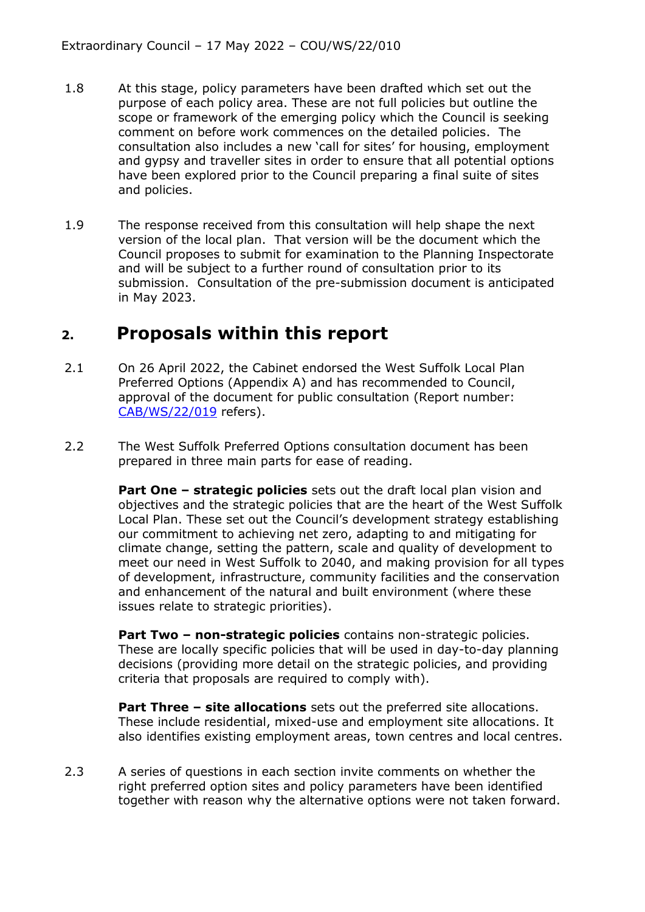- 1.8 At this stage, policy parameters have been drafted which set out the purpose of each policy area. These are not full policies but outline the scope or framework of the emerging policy which the Council is seeking comment on before work commences on the detailed policies. The consultation also includes a new 'call for sites' for housing, employment and gypsy and traveller sites in order to ensure that all potential options have been explored prior to the Council preparing a final suite of sites and policies.
- 1.9 The response received from this consultation will help shape the next version of the local plan. That version will be the document which the Council proposes to submit for examination to the Planning Inspectorate and will be subject to a further round of consultation prior to its submission. Consultation of the pre-submission document is anticipated in May 2023.

#### **2. Proposals within this report**

- 2.1 On 26 April 2022, the Cabinet endorsed the West Suffolk Local Plan Preferred Options (Appendix A) and has recommended to Council, approval of the document for public consultation (Report number: [CAB/WS/22/019](https://democracy.westsuffolk.gov.uk/ieListDocuments.aspx?CId=521&MId=4968&Ver=4) refers).
- 2.2 The West Suffolk Preferred Options consultation document has been prepared in three main parts for ease of reading.

**Part One – strategic policies** sets out the draft local plan vision and objectives and the strategic policies that are the heart of the West Suffolk Local Plan. These set out the Council's development strategy establishing our commitment to achieving net zero, adapting to and mitigating for climate change, setting the pattern, scale and quality of development to meet our need in West Suffolk to 2040, and making provision for all types of development, infrastructure, community facilities and the conservation and enhancement of the natural and built environment (where these issues relate to strategic priorities).

**Part Two – non-strategic policies** contains non-strategic policies. These are locally specific policies that will be used in day-to-day planning decisions (providing more detail on the strategic policies, and providing criteria that proposals are required to comply with).

**Part Three – site allocations** sets out the preferred site allocations. These include residential, mixed-use and employment site allocations. It also identifies existing employment areas, town centres and local centres.

2.3 A series of questions in each section invite comments on whether the right preferred option sites and policy parameters have been identified together with reason why the alternative options were not taken forward.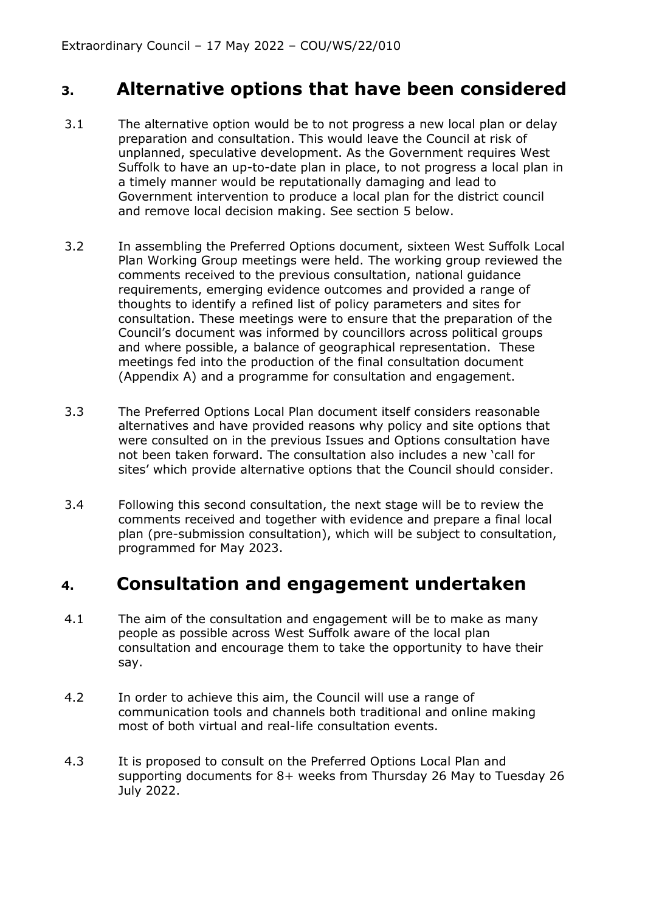#### **3. Alternative options that have been considered**

- 3.1 The alternative option would be to not progress a new local plan or delay preparation and consultation. This would leave the Council at risk of unplanned, speculative development. As the Government requires West Suffolk to have an up-to-date plan in place, to not progress a local plan in a timely manner would be reputationally damaging and lead to Government intervention to produce a local plan for the district council and remove local decision making. See section 5 below.
- 3.2 In assembling the Preferred Options document, sixteen West Suffolk Local Plan Working Group meetings were held. The working group reviewed the comments received to the previous consultation, national guidance requirements, emerging evidence outcomes and provided a range of thoughts to identify a refined list of policy parameters and sites for consultation. These meetings were to ensure that the preparation of the Council's document was informed by councillors across political groups and where possible, a balance of geographical representation. These meetings fed into the production of the final consultation document (Appendix A) and a programme for consultation and engagement.
- 3.3 The Preferred Options Local Plan document itself considers reasonable alternatives and have provided reasons why policy and site options that were consulted on in the previous Issues and Options consultation have not been taken forward. The consultation also includes a new 'call for sites' which provide alternative options that the Council should consider.
- 3.4 Following this second consultation, the next stage will be to review the comments received and together with evidence and prepare a final local plan (pre-submission consultation), which will be subject to consultation, programmed for May 2023.

#### **4. Consultation and engagement undertaken**

- 4.1 The aim of the consultation and engagement will be to make as many people as possible across West Suffolk aware of the local plan consultation and encourage them to take the opportunity to have their say.
- 4.2 In order to achieve this aim, the Council will use a range of communication tools and channels both traditional and online making most of both virtual and real-life consultation events.
- 4.3 It is proposed to consult on the Preferred Options Local Plan and supporting documents for 8+ weeks from Thursday 26 May to Tuesday 26 July 2022.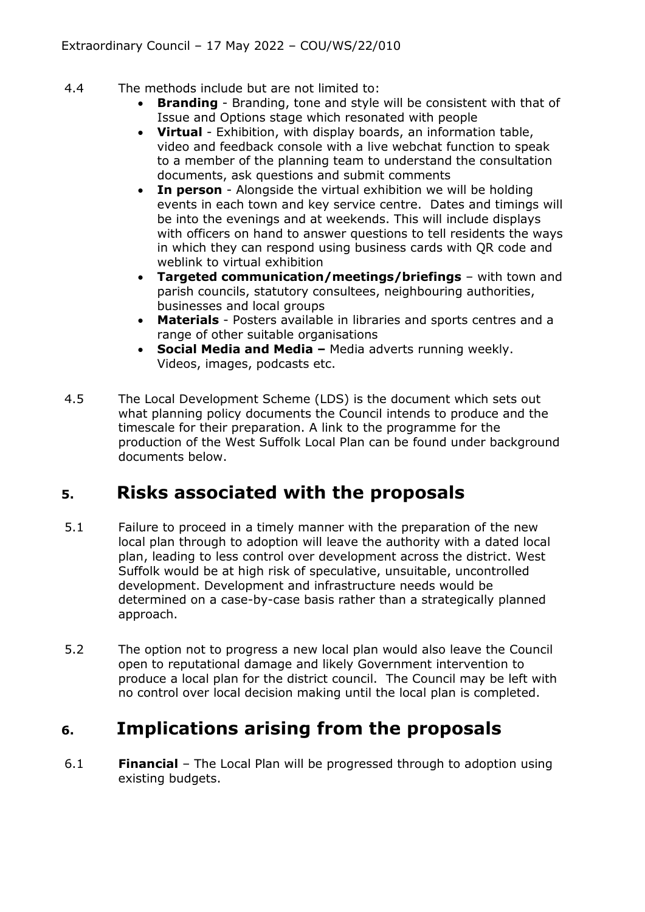- 4.4 The methods include but are not limited to:
	- **Branding** Branding, tone and style will be consistent with that of Issue and Options stage which resonated with people
	- **Virtual** Exhibition, with display boards, an information table, video and feedback console with a live webchat function to speak to a member of the planning team to understand the consultation documents, ask questions and submit comments
	- **In person**  Alongside the virtual exhibition we will be holding events in each town and key service centre. Dates and timings will be into the evenings and at weekends. This will include displays with officers on hand to answer questions to tell residents the ways in which they can respond using business cards with QR code and weblink to virtual exhibition
	- **Targeted communication/meetings/briefings** with town and parish councils, statutory consultees, neighbouring authorities, businesses and local groups
	- **Materials** Posters available in libraries and sports centres and a range of other suitable organisations
	- **Social Media and Media –** Media adverts running weekly. Videos, images, podcasts etc.
- 4.5 The Local Development Scheme (LDS) is the document which sets out what planning policy documents the Council intends to produce and the timescale for their preparation. A link to the programme for the production of the West Suffolk Local Plan can be found under background documents below.

## **5. Risks associated with the proposals**

- 5.1 Failure to proceed in a timely manner with the preparation of the new local plan through to adoption will leave the authority with a dated local plan, leading to less control over development across the district. West Suffolk would be at high risk of speculative, unsuitable, uncontrolled development. Development and infrastructure needs would be determined on a case-by-case basis rather than a strategically planned approach.
- 5.2 The option not to progress a new local plan would also leave the Council open to reputational damage and likely Government intervention to produce a local plan for the district council. The Council may be left with no control over local decision making until the local plan is completed.

# **6. Implications arising from the proposals**

6.1 **Financial** – The Local Plan will be progressed through to adoption using existing budgets.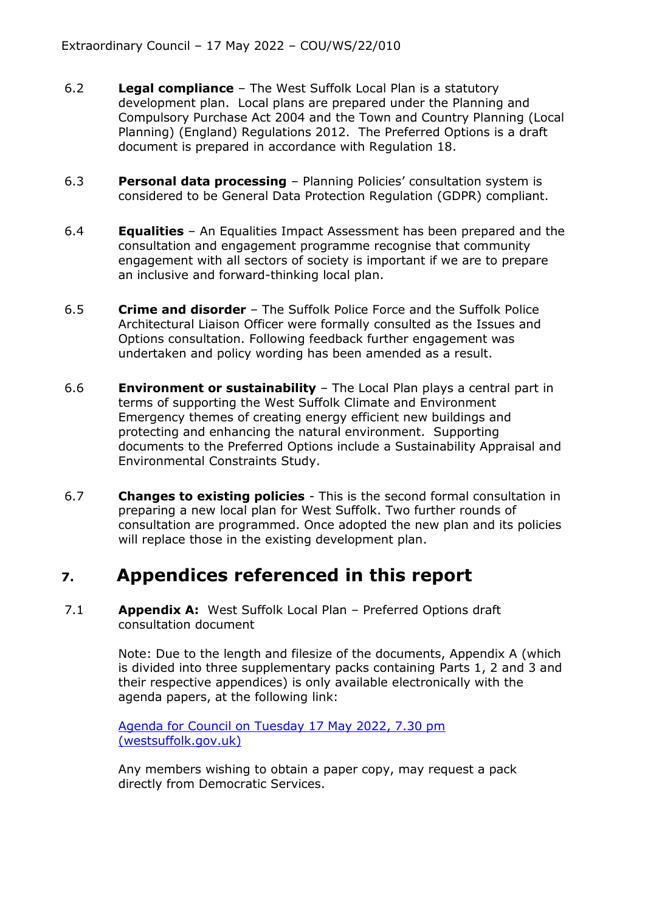- 6.2 **Legal compliance** The West Suffolk Local Plan is a statutory development plan. Local plans are prepared under the Planning and Compulsory Purchase Act 2004 and the Town and Country Planning (Local Planning) (England) Regulations 2012. The Preferred Options is a draft document is prepared in accordance with Regulation 18.
- 6.3 **Personal data processing** Planning Policies' consultation system is considered to be General Data Protection Regulation (GDPR) compliant.
- 6.4 **Equalities** An Equalities Impact Assessment has been prepared and the consultation and engagement programme recognise that community engagement with all sectors of society is important if we are to prepare an inclusive and forward-thinking local plan.
- 6.5 **Crime and disorder** The Suffolk Police Force and the Suffolk Police Architectural Liaison Officer were formally consulted as the Issues and Options consultation. Following feedback further engagement was undertaken and policy wording has been amended as a result.
- 6.6 **Environment or sustainability** The Local Plan plays a central part in terms of supporting the West Suffolk Climate and Environment Emergency themes of creating energy efficient new buildings and protecting and enhancing the natural environment. Supporting documents to the Preferred Options include a Sustainability Appraisal and Environmental Constraints Study.
- 6.7 **Changes to existing policies** This is the second formal consultation in preparing a new local plan for West Suffolk. Two further rounds of consultation are programmed. Once adopted the new plan and its policies will replace those in the existing development plan.

#### **7. Appendices referenced in this report**

7.1 **Appendix A:** West Suffolk Local Plan – Preferred Options draft consultation document

> Note: Due to the length and filesize of the documents, Appendix A (which is divided into three supplementary packs containing Parts 1, 2 and 3 and their respective appendices) is only available electronically with the agenda papers, at the following link:

[Agenda for Council on Tuesday 17 May 2022, 7.30 pm](https://democracy.westsuffolk.gov.uk/ieListDocuments.aspx?CId=520&MId=5234&Ver=4)  [\(westsuffolk.gov.uk\)](https://democracy.westsuffolk.gov.uk/ieListDocuments.aspx?CId=520&MId=5234&Ver=4)

Any members wishing to obtain a paper copy, may request a pack directly from Democratic Services.